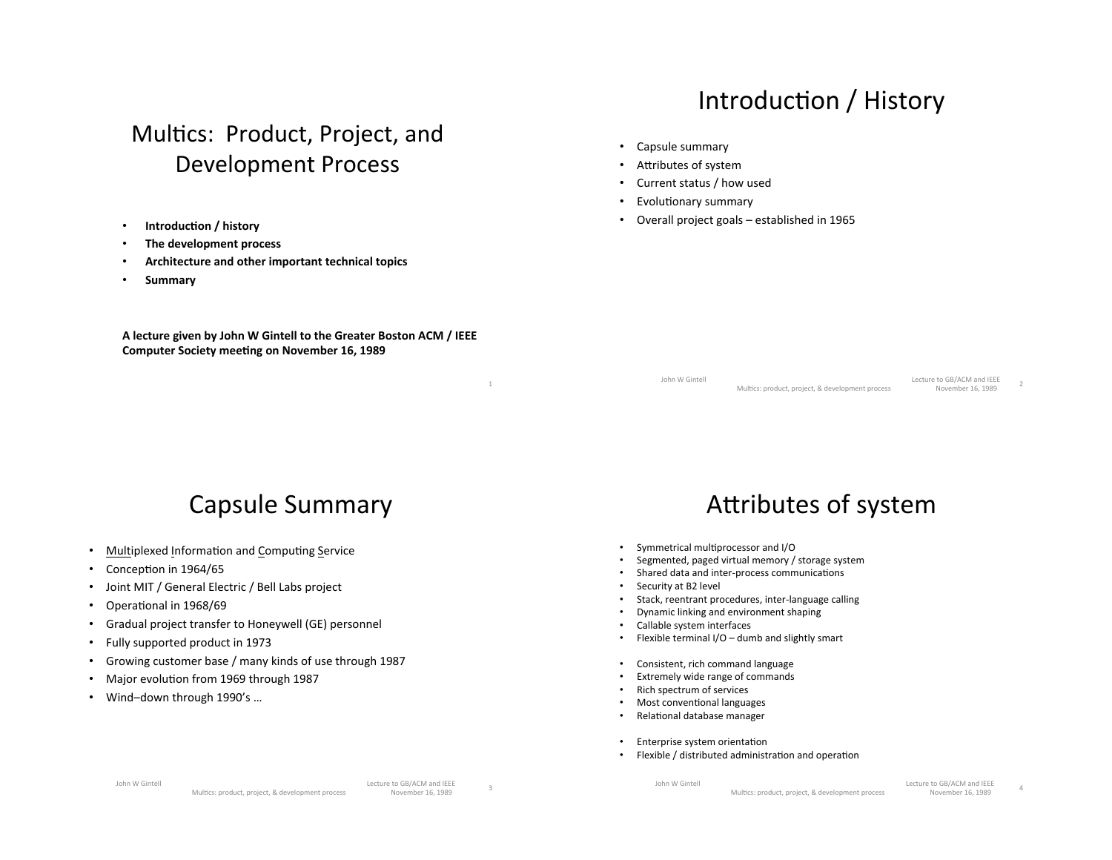#### Introduction / History

#### Multics: Product, Project, and Development Process

- **Introduction / history**
- **The development process**
- Architecture and other important technical topics
- **Summary\***

A lecture given by John W Gintell to the Greater Boston ACM / IEEE **Computer Society meeting on November 16, 1989** 

(a) the contract of the contract of the contract of  $\mathbf 1$ 

# Capsule Summary

- Multiplexed Information and Computing Service
- Conception in  $1964/65$
- Joint MIT / General Electric / Bell Labs project
- Operational in 1968/69
- Gradual project transfer to Honeywell (GE) personnel
- Fully supported product in 1973
- Growing customer base / many kinds of use through 1987
- Major evolution from 1969 through 1987
- Wind-down through 1990's ...
- Capsule summary
- Attributes of system
- Current status / how used
- **Evolutionary summary**
- Overall project goals established in  $1965$

John W Gintell<br>Multics: product project & development process Movember 16, 1989 (((((((((((((((())))))))<br>Multics: product, project, & development process<br>November 16, 1989

#### Attributes of system

- Symmetrical multiprocessor and I/O
- Segmented, paged virtual memory / storage system
- Shared data and inter-process communications
- Security at B2 level
- Stack, reentrant procedures, inter-language calling
- Dynamic linking and environment shaping
- Callable system interfaces
- Flexible terminal I/O dumb and slightly smart
- Consistent, rich command language
- Extremely wide range of commands
- Rich spectrum of services
- Most conventional languages
- Relational database manager
- Enterprise system orientation
- Flexible / distributed administration and operation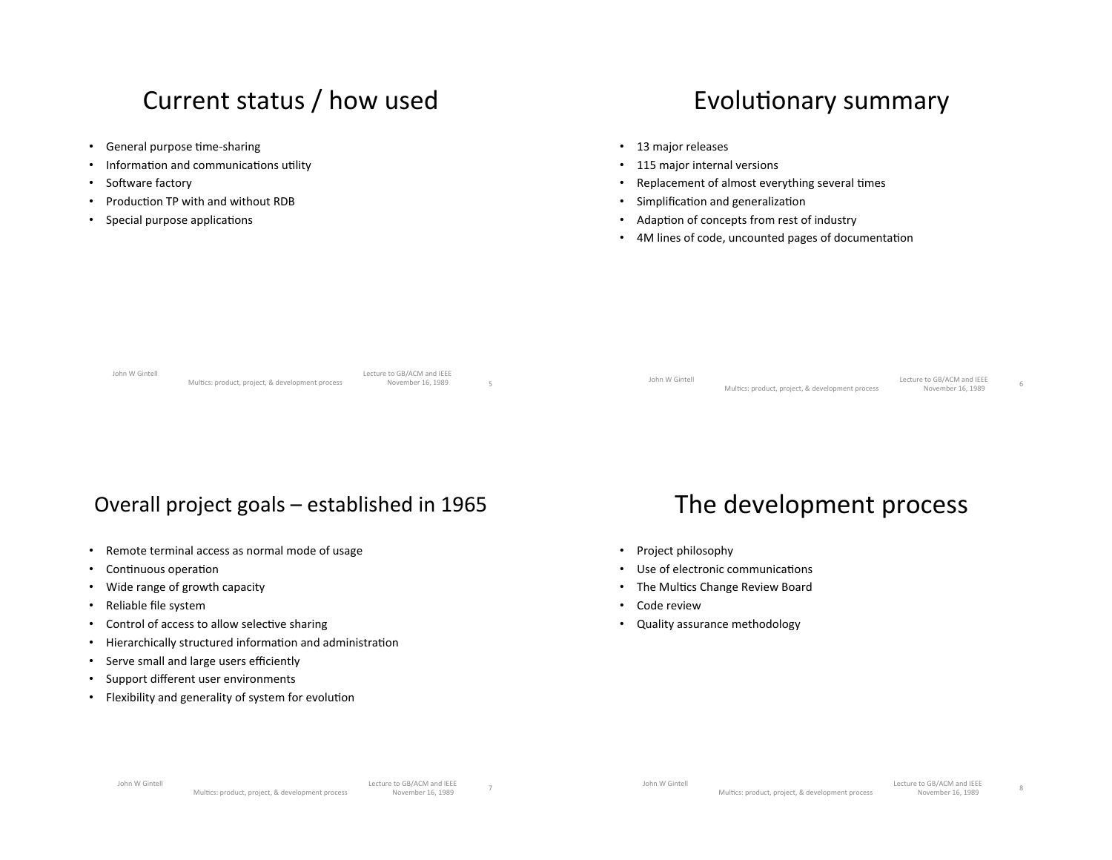#### Current status / how used

- General purpose time-sharing
- Information and communications utility
- Software factory
- Production TP with and without RDB
- Special purpose applications

#### Evolutionary summary

- 13 major releases
- 115 major internal versions
- Replacement of almost everything several times
- Simplification and generalization
- Adaption of concepts from rest of industry
- 4M lines of code, uncounted pages of documentation

| Multics: product, project, & development process<br>November 16, 1989 |  | John W Gintell | Multics: product, project, & development process | Lecture to GB/ACM and IEEE<br>November 16, 1989 |  | John W Gintell |  | Lecture to GB/ACM and IEEE |  |
|-----------------------------------------------------------------------|--|----------------|--------------------------------------------------|-------------------------------------------------|--|----------------|--|----------------------------|--|
|-----------------------------------------------------------------------|--|----------------|--------------------------------------------------|-------------------------------------------------|--|----------------|--|----------------------------|--|

#### Overall project goals – established in  $1965$

- Remote terminal access as normal mode of usage
- Continuous operation
- Wide range of growth capacity
- Reliable file system
- Control of access to allow selective sharing
- Hierarchically structured information and administration
- Serve small and large users efficiently
- Support different user environments
- Flexibility and generality of system for evolution

#### The development process

- Project philosophy
- Use of electronic communications
- The Multics Change Review Board
- Code review
- Quality assurance methodology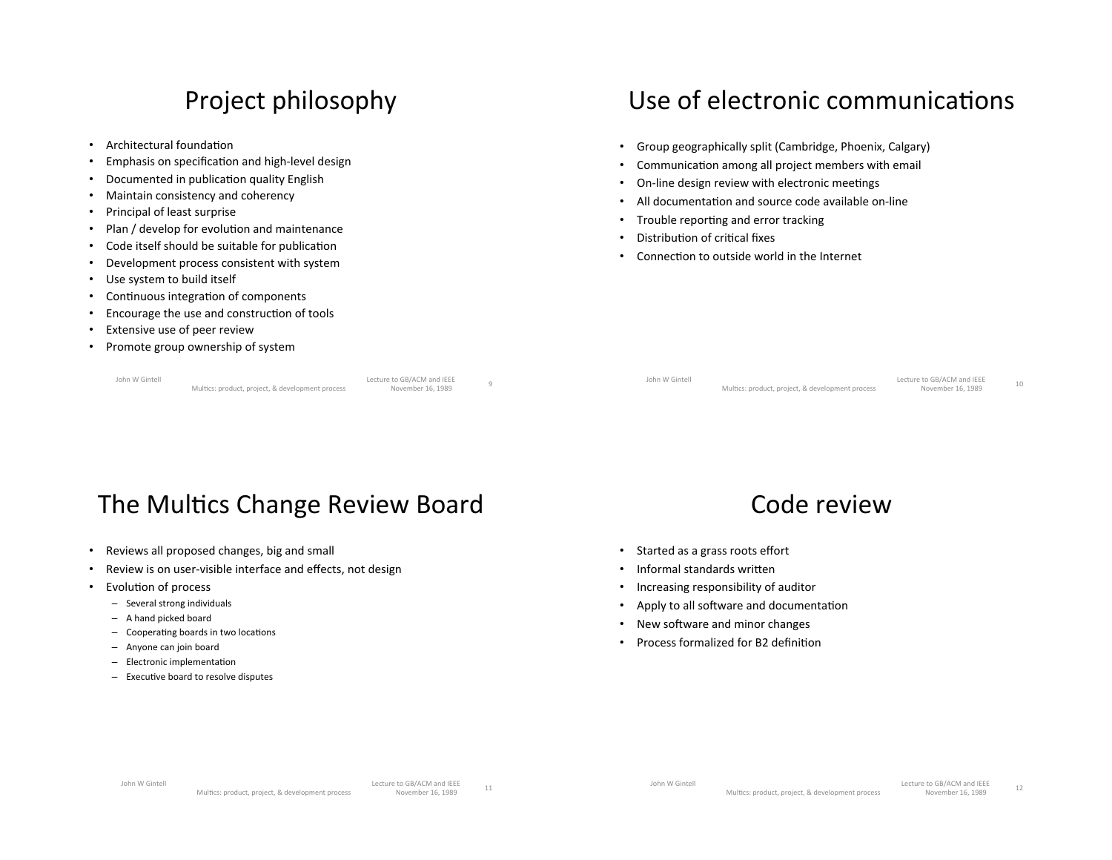#### Project philosophy

- Architectural foundation
- Emphasis on specification and high-level design
- Documented in publication quality English
- Maintain consistency and coherency
- Principal of least surprise
- Plan / develop for evolution and maintenance
- Code itself should be suitable for publication
- Development process consistent with system
- Use system to build itself
- Continuous integration of components
- Encourage the use and construction of tools
- Extensive use of peer review
- Promote group ownership of system

John W Gintell<br>John W Gintell<br>Multics: product, project, & development process Movember 16, 1989 و Lecture to GB/ACM and IEEE<br>Multics: product. project. & development process ((Multics: product. project

# Use of electronic communications

- Group geographically split (Cambridge, Phoenix, Calgary)
- Communication among all project members with email
- On-line design review with electronic meetings
- All documentation and source code available on-line
- Trouble reporting and error tracking
- Distribution of critical fixes
- Connection to outside world in the Internet

John W Gintell<br>John W Gintell<br>Multics: product project & development process Movember 16, 1989 Lecture to do/ACM and leee<br>Multics: product, project, & development process Movember 16, 1989

## The Multics Change Review Board

- Reviews all proposed changes, big and small
- Review is on user-visible interface and effects, not design
- Evolution of process
	- $-$  Several strong individuals
	- $-$  A hand picked board
	- $-$  Cooperating boards in two locations
	- $-$  Anyone can join board
	- $-$  Electronic implementation
	- $-$  Executive board to resolve disputes



- Started as a grass roots effort
- $\cdot$  Informal standards written
- Increasing responsibility of auditor
- Apply to all software and documentation
- New software and minor changes
- Process formalized for B2 definition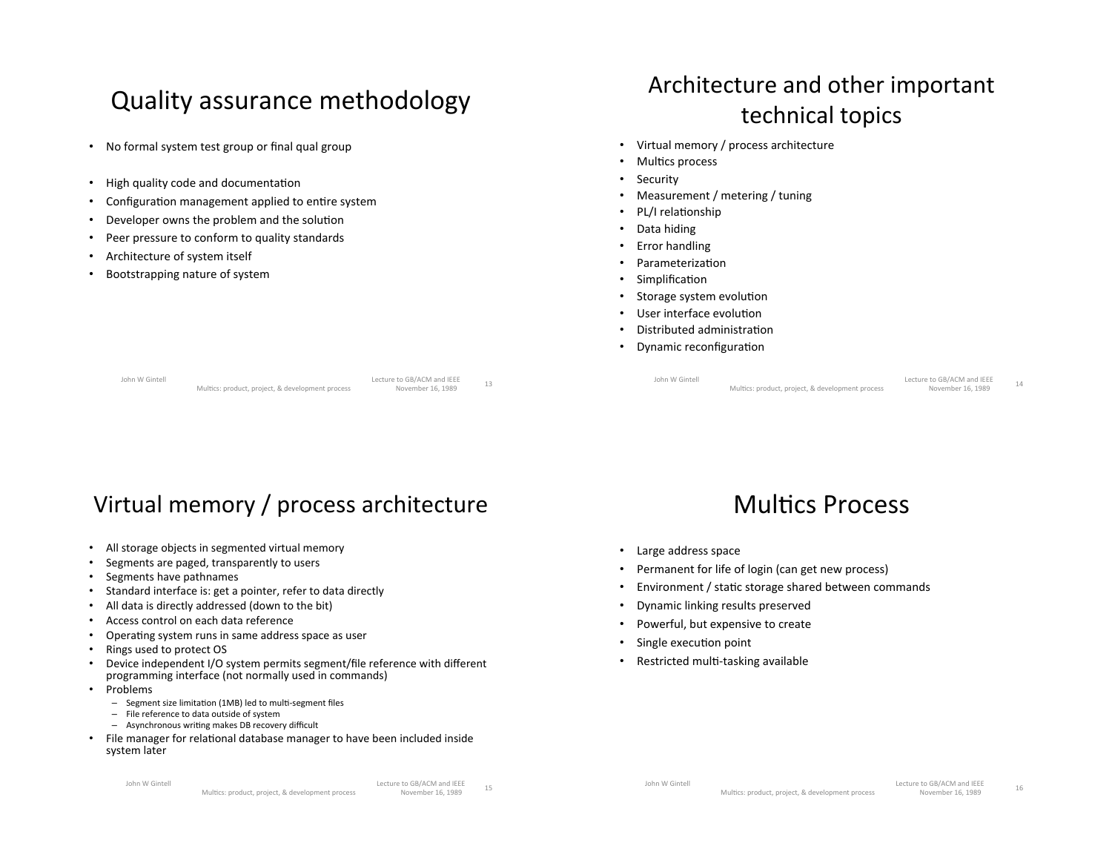#### Quality assurance methodology

- No formal system test group or final qual group
- High quality code and documentation
- Configuration management applied to entire system
- Developer owns the problem and the solution
- Peer pressure to conform to quality standards
- Architecture of system itself
- Bootstrapping nature of system

#### Architecture and other important technical topics

- Virtual memory / process architecture
- Multics process
- **Security**
- Measurement / metering / tuning
- PL/I relationship
- Data hiding
- **Error handling**
- Parameterization
- **Simplification**
- Storage system evolution
- User interface evolution
- Distributed administration
- **Dynamic reconfiguration**

John W Gintell<br>Multics: product project & development process November 16, 1989 Lecture to GB/ACM and IEEE<br>Multics: product, project, & development process
Movember 16, 1989
13

John W Gintell<br>Multics: product project & development process Movember 16, 1989 Lecture to Go/ACNI and IEEE<br>Multics: product, project, & development process
Movember 16, 1989
14

#### Virtual memory / process architecture

- All storage objects in segmented virtual memory
- Segments are paged, transparently to users
- Segments have pathnames
- Standard interface is: get a pointer, refer to data directly
- All data is directly addressed (down to the bit)
- Access control on each data reference
- Operating system runs in same address space as user
- Rings used to protect OS
- Device independent I/O system permits segment/file reference with different programming interface (not normally used in commands)
- Problems
	- Segment size limitation (1MB) led to multi-segment files
	- $-$  File reference to data outside of system
	- $-$  Asynchronous writing makes DB recovery difficult
- File manager for relational database manager to have been included inside system later

#### Multics Process

- Large address space
- Permanent for life of login (can get new process)
- Environment / static storage shared between commands
- Dynamic linking results preserved
- Powerful, but expensive to create
- Single execution point
- Restricted multi-tasking available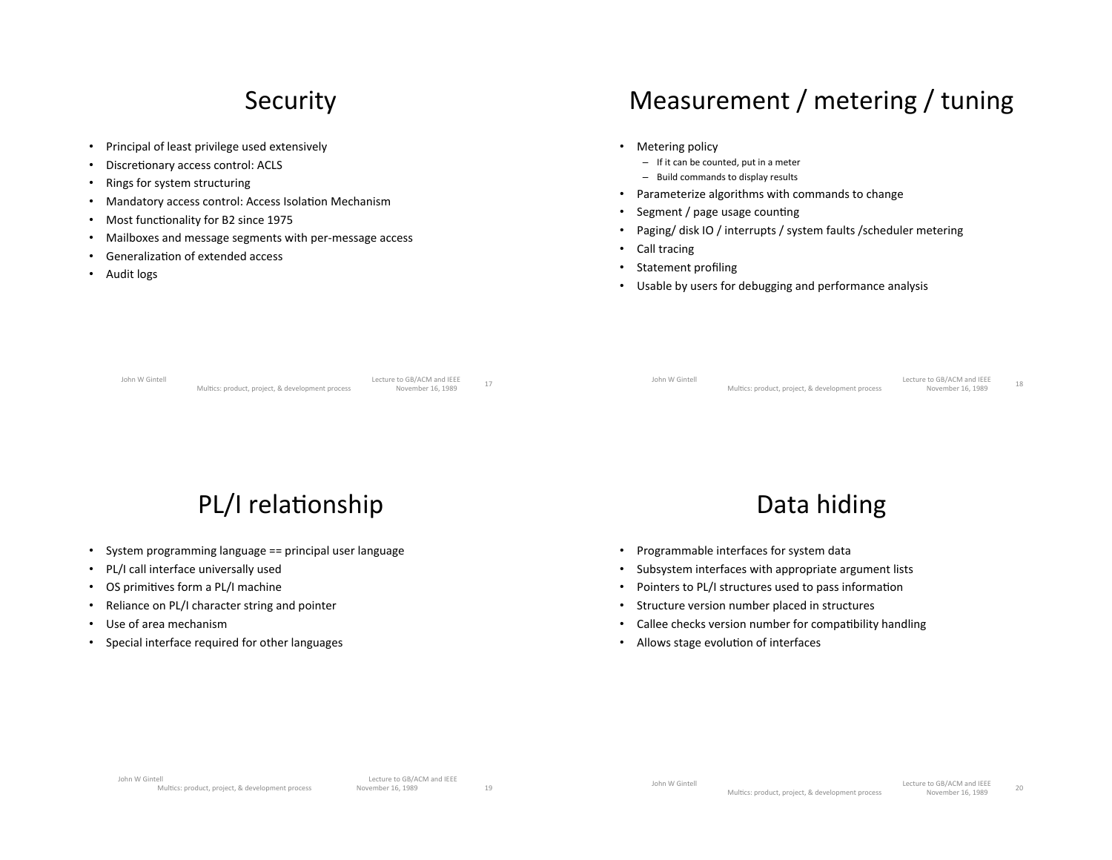#### **Security**

- Principal of least privilege used extensively
- Discretionary access control: ACLS
- Rings for system structuring
- Mandatory access control: Access Isolation Mechanism
- Most functionality for B2 since 1975
- Mailboxes and message segments with per-message access
- Generalization of extended access
- Audit logs

#### Measurement / metering / tuning

- Metering policy
	- $-$  If it can be counted, put in a meter
	- $-$  Build commands to display results
- Parameterize algorithms with commands to change
- Segment / page usage counting
- Paging/disk IO / interrupts / system faults / scheduler metering
- $\cdot$  Call tracing
- Statement profiling
- Usable by users for debugging and performance analysis

|  | John W Gintell |
|--|----------------|
|  |                |

Lecture to GB/ACM and IEEE<br>Multics: product, project, & development process
Movember 16, 1989
17

Lecture to GB/ACM and IEEE<br>November 16, 1989

John W Gintell<br>Multics: product project & development process November 16, 1989 Lecture to dby Acivi and leee<br>Multics: product, project, & development process
Movember 16, 1989
18

#### PL/I relationship

- System programming language == principal user language
- PL/I call interface universally used
- OS primitives form a PL/I machine
- Reliance on PL/I character string and pointer
- Use of area mechanism
- Special interface required for other languages

#### Data hiding

- Programmable interfaces for system data
- Subsystem interfaces with appropriate argument lists
- Pointers to PL/I structures used to pass information
- Structure version number placed in structures
- Callee checks version number for compatibility handling
- Allows stage evolution of interfaces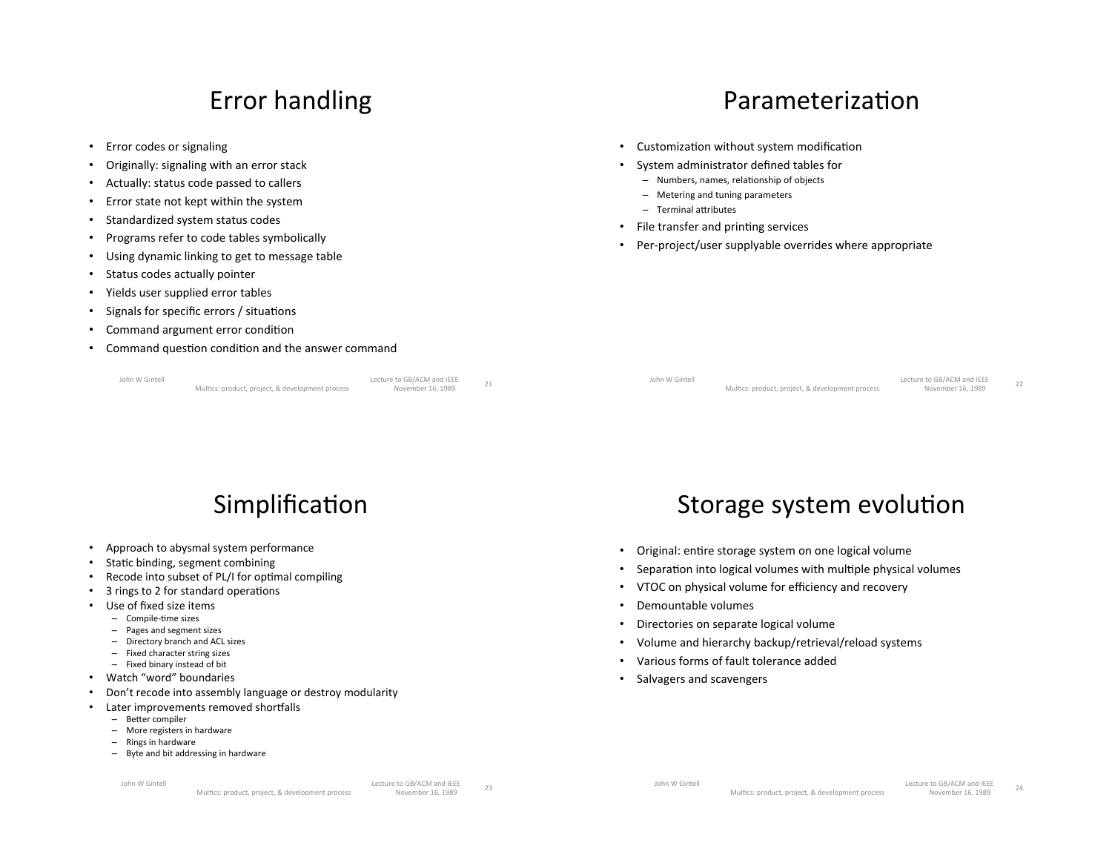#### Error handling

- Error codes or signaling
- Originally: signaling with an error stack
- Actually: status code passed to callers
- Error state not kept within the system
- Standardized system status codes
- Programs refer to code tables symbolically
- Using dynamic linking to get to message table
- Status codes actually pointer
- Yields user supplied error tables
- Signals for specific errors / situations
- Command argument error condition
- Command question condition and the answer command

John W Gintell<br>John W Gintell<br>Multics: product project & development process Movember 16, 1989 Lecture to GB/ACM and IEEE<br>Multics: product. project. & development process ((Multics: product)

```
Parameterization
```
- Customization without system modification
- System administrator defined tables for
	- $-$  Numbers, names, relationship of objects
	- $-$  Metering and tuning parameters
	- $-$  Terminal attributes
- $\cdot$  File transfer and printing services
- Per-project/user supplyable overrides where appropriate

|  | John W Gintell |  |
|--|----------------|--|
|  |                |  |

Lecture to GB/ACM and IEEE<br>Multics: product, project, & development process ((1)(1989) November 16, 1989

Storage system evolution

• Original: entire storage system on one logical volume

• Separation into logical volumes with multiple physical volumes VTOC on physical volume for efficiency and recovery

Volume and hierarchy backup/retrieval/reload systems

Lecture to GB/ACM and IEEE<br>November 16, 1989

## Simplification

- Approach to abysmal system performance
- Static binding, segment combining
- Recode into subset of PL/I for optimal compiling
- 3 rings to 2 for standard operations
- Use of fixed size items
	- $-$  Compile-time sizes
	- $-$  Pages and segment sizes
	- $-$  Directory branch and ACL sizes
	- $-$  Fixed character string sizes
	- $-$  Fixed binary instead of bit
- Watch "word" boundaries
- Don't recode into assembly language or destroy modularity
- Later improvements removed shortfalls
	- Better compiler
	- $-$  More registers in hardware
	- $-$  Rings in hardware
	- $-$  Byte and bit addressing in hardware

• Demountable volumes

Salvagers and scavengers

• Directories on separate logical volume

Various forms of fault tolerance added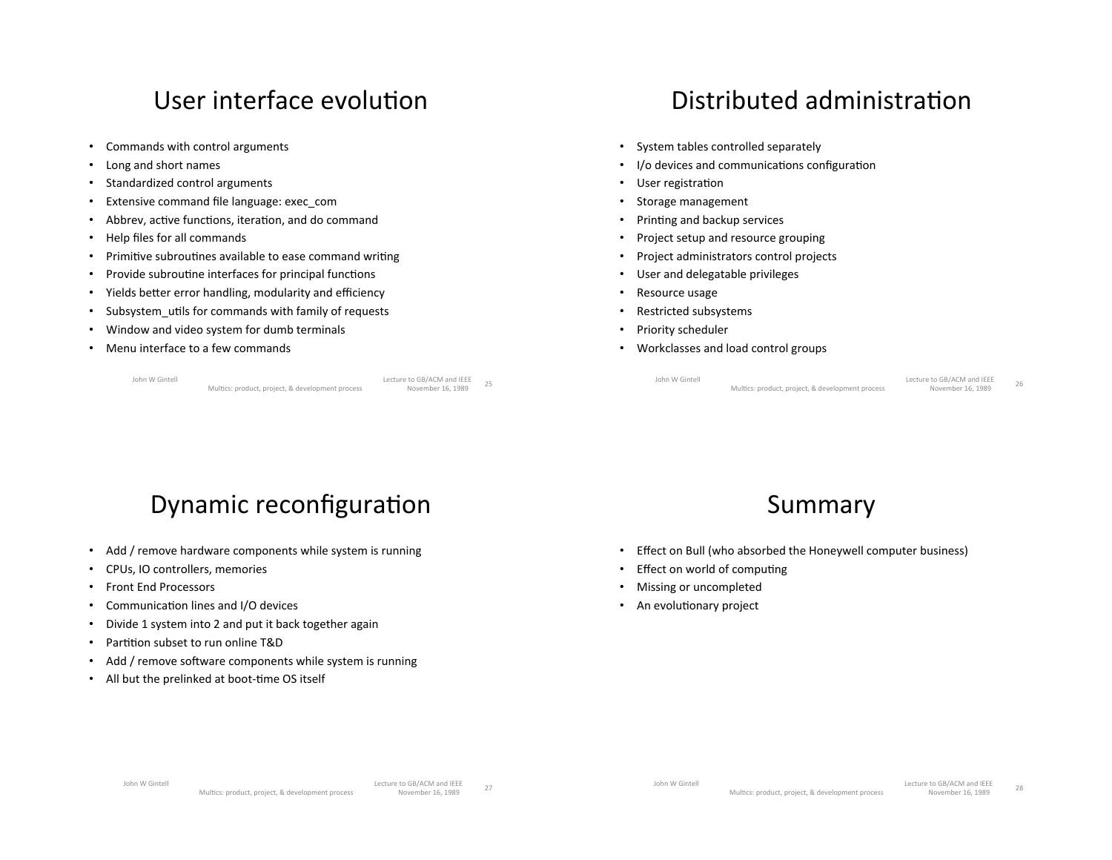#### User interface evolution

- Commands with control arguments
- Long and short names
- Standardized control arguments
- Extensive command file language: exec\_com
- Abbrev, active functions, iteration, and do command
- Help files for all commands
- Primitive subroutines available to ease command writing
- Provide subroutine interfaces for principal functions
- Yields better error handling, modularity and efficiency
- Subsystem utils for commands with family of requests
- Window and video system for dumb terminals
- Menu interface to a few commands

John W Gintell<br>
(((())))))) Unit is the product project & development process<br>
(Movember 16, 1989) (Multics: product, project, & development process)

```
Distributed administration
```
- System tables controlled separately
- I/o devices and communications configuration
- User registration
- Storage management
- Printing and backup services
- Project setup and resource grouping
- Project administrators control projects
- User and delegatable privileges
- Resource usage
- Restricted subsystems
- Priority scheduler
- Workclasses and load control groups

John W Gintell<br>Multics: product project & development process Movember 16, 1989 Lecture to disynciation lefte<br>Multics: product, project, & development process Multics: product, project, & development process

#### Dynamic reconfiguration

- Add / remove hardware components while system is running
- CPUs, IO controllers, memories
- Front End Processors
- $\cdot$  Communication lines and I/O devices
- Divide 1 system into 2 and put it back together again
- Partition subset to run online T&D
- Add / remove software components while system is running
- All but the prelinked at boot-time OS itself



- Effect on Bull (who absorbed the Honeywell computer business)
- Effect on world of computing
- Missing or uncompleted
- An evolutionary project